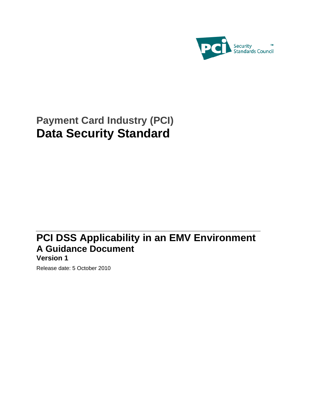

# **Payment Card Industry (PCI) Data Security Standard**

# **PCI DSS Applicability in an EMV Environment A Guidance Document**

# **Version 1**

Release date: 5 October 2010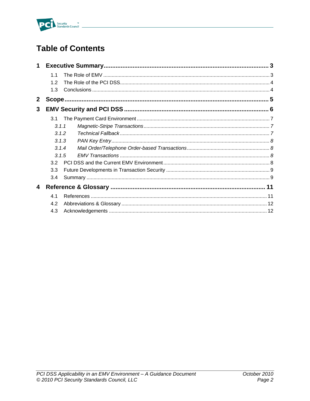

# **Table of Contents**

| $\mathbf 1$  |       |  |  |  |  |
|--------------|-------|--|--|--|--|
|              | 1.1   |  |  |  |  |
|              | 12    |  |  |  |  |
|              | 1.3   |  |  |  |  |
| $\mathbf{2}$ |       |  |  |  |  |
| 3            |       |  |  |  |  |
|              | 3.1   |  |  |  |  |
|              | 3.1.1 |  |  |  |  |
|              | .312  |  |  |  |  |
|              | 3.1.3 |  |  |  |  |
|              | 3.1.4 |  |  |  |  |
|              | 3.1.5 |  |  |  |  |
|              | 3.2   |  |  |  |  |
|              | 3.3   |  |  |  |  |
|              | 3.4   |  |  |  |  |
| 4            |       |  |  |  |  |
|              | 4.1   |  |  |  |  |
|              | 4.2   |  |  |  |  |
|              | 4.3   |  |  |  |  |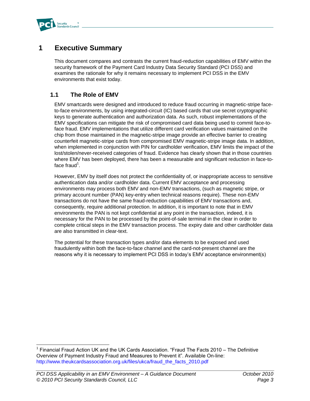

# **1 Executive Summary**

This document compares and contrasts the current fraud-reduction capabilities of EMV within the security framework of the Payment Card Industry Data Security Standard (PCI DSS) and examines the rationale for why it remains necessary to implement PCI DSS in the EMV environments that exist today.

## **1.1 The Role of EMV**

EMV smartcards were designed and introduced to reduce fraud occurring in magnetic-stripe faceto-face environments, by using integrated-circuit (IC) based cards that use secret cryptographic keys to generate authentication and authorization data. As such, robust implementations of the EMV specifications can mitigate the risk of compromised card data being used to commit face-toface fraud. EMV implementations that utilize different card verification values maintained on the chip from those maintained in the magnetic-stripe image provide an effective barrier to creating counterfeit magnetic-stripe cards from compromised EMV magnetic-stripe image data. In addition, when implemented in conjunction with PIN for cardholder verification, EMV limits the impact of the lost/stolen/never-received categories of fraud. Evidence has clearly shown that in those countries where EMV has been deployed, there has been a measurable and significant reduction in face-toface fraud<sup>1</sup>.

However, EMV by itself does not protect the confidentiality of, or inappropriate access to sensitive authentication data and/or cardholder data. Current EMV acceptance and processing environments may process both EMV and non-EMV transactions, (such as magnetic stripe, or primary account number (PAN) key-entry when technical reasons require). These non-EMV transactions do not have the same fraud-reduction capabilities of EMV transactions and, consequently, require additional protection. In addition, it is important to note that in EMV environments the PAN is not kept confidential at any point in the transaction, indeed, it is necessary for the PAN to be processed by the point-of-sale terminal in the clear in order to complete critical steps in the EMV transaction process. The expiry date and other cardholder data are also transmitted in clear-text.

The potential for these transaction types and/or data elements to be exposed and used fraudulently within both the face-to-face channel and the card-not-present channel are the reasons why it is necessary to implement PCI DSS in today's EMV acceptance environment(s)

j <sup>1</sup> Financial Fraud Action UK and the UK Cards Association. "Fraud The Facts 2010 – The Definitive Overview of Payment Industry Fraud and Measures to Prevent it". Available On-line: [http://www.theukcardsassociation.org.uk/files/ukca/fraud\\_the\\_facts\\_2010.pdf](http://www.theukcardsassociation.org.uk/files/ukca/fraud_the_facts_2010.pdf)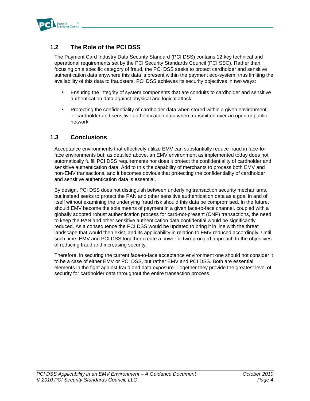

## **1.2 The Role of the PCI DSS**

The Payment Card Industry Data Security Standard (PCI DSS) contains 12 key technical and operational requirements set by the PCI Security Standards Council (PCI SSC). Rather than focusing on a specific category of fraud, the PCI DSS seeks to protect cardholder and sensitive authentication data anywhere this data is present within the payment eco-system, thus limiting the availability of this data to fraudsters. PCI DSS achieves its security objectives in two ways:

- Ensuring the integrity of system components that are conduits to cardholder and sensitive authentication data against physical and logical attack.
- Protecting the confidentiality of cardholder data when stored within a given environment, or cardholder and sensitive authentication data when transmitted over an open or public network.

### **1.3 Conclusions**

Acceptance environments that effectively utilize EMV can substantially reduce fraud in face-toface environments but, as detailed above, an EMV environment as implemented today does not automatically fulfill PCI DSS requirements nor does it protect the confidentiality of cardholder and sensitive authentication data. Add to this the capability of merchants to process both EMV and non-EMV transactions, and it becomes obvious that protecting the confidentiality of cardholder and sensitive authentication data is essential.

By design, PCI DSS does not distinguish between underlying transaction security mechanisms, but instead seeks to protect the PAN and other sensitive authentication data as a goal in and of itself without examining the underlying fraud risk should this data be compromised. In the future, should EMV become the sole means of payment in a given face-to-face channel, coupled with a globally adopted robust authentication process for card-not-present (CNP) transactions, the need to keep the PAN and other sensitive authentication data confidential would be significantly reduced. As a consequence the PCI DSS would be updated to bring it in line with the threat landscape that would then exist, and its applicability in relation to EMV reduced accordingly. Until such time, EMV and PCI DSS together create a powerful two-pronged approach to the objectives of reducing fraud and increasing security.

Therefore, in securing the current face-to-face acceptance environment one should not consider it to be a case of either EMV or PCI DSS, but rather EMV and PCI DSS. Both are essential elements in the fight against fraud and data exposure. Together they provide the greatest level of security for cardholder data throughout the entire transaction process.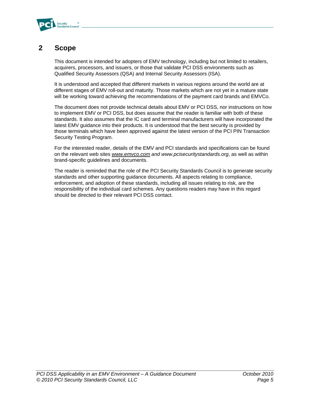

# **2 Scope**

This document is intended for adopters of EMV technology, including but not limited to retailers, acquirers, processors, and issuers, or those that validate PCI DSS environments such as Qualified Security Assessors (QSA) and Internal Security Assessors (ISA).

It is understood and accepted that different markets in various regions around the world are at different stages of EMV roll-out and maturity. Those markets which are not yet in a mature state will be working toward achieving the recommendations of the payment card brands and EMVCo.

The document does not provide technical details about EMV or PCI DSS, nor instructions on how to implement EMV or PCI DSS, but does assume that the reader is familiar with both of these standards. It also assumes that the IC card and terminal manufacturers will have incorporated the latest EMV guidance into their products. It is understood that the best security is provided by those terminals which have been approved against the latest version of the PCI PIN Transaction Security Testing Program.

For the interested reader, details of the EMV and PCI standards and specifications can be found on the relevant web sites *[www.emvco.com](http://www.emvco.com/) and [www.pcisecuritystandards.org](http://www.pcisecuritystandards.org/)*, as well as within brand-specific guidelines and documents.

The reader is reminded that the role of the PCI Security Standards Council is to generate security standards and other supporting guidance documents. All aspects relating to compliance, enforcement, and adoption of these standards, including all issues relating to risk, are the responsibility of the individual card schemes. Any questions readers may have in this regard should be directed to their relevant PCI DSS contact.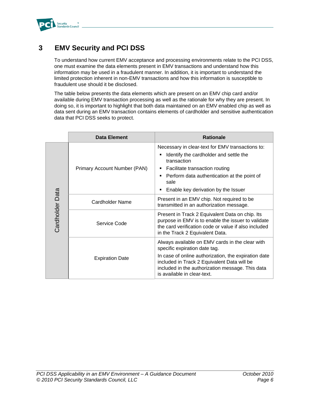

# **3 EMV Security and PCI DSS**

To understand how current EMV acceptance and processing environments relate to the PCI DSS, one must examine the data elements present in EMV transactions and understand how this information may be used in a fraudulent manner. In addition, it is important to understand the limited protection inherent in non-EMV transactions and how this information is susceptible to fraudulent use should it be disclosed.

The table below presents the data elements which are present on an EMV chip card and/or available during EMV transaction processing as well as the rationale for why they are present. In doing so, it is important to highlight that both data maintained on an EMV enabled chip as well as data sent during an EMV transaction contains elements of cardholder and sensitive authentication data that PCI DSS seeks to protect.

|                 | <b>Data Element</b>          | <b>Rationale</b>                                                                                                                                                                                                                                              |
|-----------------|------------------------------|---------------------------------------------------------------------------------------------------------------------------------------------------------------------------------------------------------------------------------------------------------------|
|                 | Primary Account Number (PAN) | Necessary in clear-text for EMV transactions to:<br>Identify the cardholder and settle the<br>٠<br>transaction<br>Facilitate transaction routing<br>п<br>Perform data authentication at the point of<br>٠<br>sale<br>Enable key derivation by the Issuer<br>п |
|                 | Cardholder Name              | Present in an EMV chip. Not required to be<br>transmitted in an authorization message.                                                                                                                                                                        |
| Cardholder Data | Service Code                 | Present in Track 2 Equivalent Data on chip. Its<br>purpose in EMV is to enable the issuer to validate<br>the card verification code or value if also included<br>in the Track 2 Equivalent Data.                                                              |
|                 | <b>Expiration Date</b>       | Always available on EMV cards in the clear with<br>specific expiration date tag.                                                                                                                                                                              |
|                 |                              | In case of online authorization, the expiration date<br>included in Track 2 Equivalent Data will be<br>included in the authorization message. This data<br>is available in clear-text.                                                                        |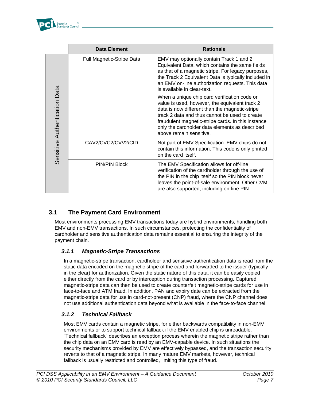

|                               | <b>Data Element</b>              | <b>Rationale</b>                                                                                                                                                                                                                                                                                                                      |
|-------------------------------|----------------------------------|---------------------------------------------------------------------------------------------------------------------------------------------------------------------------------------------------------------------------------------------------------------------------------------------------------------------------------------|
|                               | <b>Full Magnetic-Stripe Data</b> | EMV may optionally contain Track 1 and 2<br>Equivalent Data, which contains the same fields<br>as that of a magnetic stripe. For legacy purposes,<br>the Track 2 Equivalent Data is typically included in<br>an EMV on-line authorization requests. This data<br>is available in clear-text.                                          |
| Sensitive Authentication Data |                                  | When a unique chip card verification code or<br>value is used, however, the equivalent track 2<br>data is now different than the magnetic-stripe<br>track 2 data and thus cannot be used to create<br>fraudulent magnetic-stripe cards. In this instance<br>only the cardholder data elements as described<br>above remain sensitive. |
|                               | CAV2/CVC2/CVV2/CID               | Not part of EMV Specification. EMV chips do not<br>contain this information. This code is only printed<br>on the card itself.                                                                                                                                                                                                         |
|                               | <b>PIN/PIN Block</b>             | The EMV Specification allows for off-line<br>verification of the cardholder through the use of<br>the PIN in the chip itself so the PIN block never<br>leaves the point-of-sale environment. Other CVM<br>are also supported, including on-line PIN.                                                                                  |

## **3.1 The Payment Card Environment**

Most environments processing EMV transactions today are hybrid environments, handling both EMV and non-EMV transactions. In such circumstances, protecting the confidentiality of cardholder and sensitive authentication data remains essential to ensuring the integrity of the payment chain.

#### *3.1.1 Magnetic-Stripe Transactions*

In a magnetic-stripe transaction, cardholder and sensitive authentication data is read from the static data encoded on the magnetic stripe of the card and forwarded to the issuer (typically in the clear) for authorization. Given the static nature of this data, it can be easily copied either directly from the card or by interception during transaction processing. Captured magnetic-stripe data can then be used to create counterfeit magnetic-stripe cards for use in face-to-face and ATM fraud. In addition, PAN and expiry date can be extracted from the magnetic-stripe data for use in card-not-present (CNP) fraud, where the CNP channel does not use additional authentication data beyond what is available in the face-to-face channel.

#### *3.1.2 Technical Fallback*

Most EMV cards contain a magnetic stripe, for either backwards compatibility in non-EMV environments or to support technical fallback if the EMV enabled chip is unreadable. ―Technical fallback‖ describes an exception process wherein the magnetic stripe rather than the chip data on an EMV card is read by an EMV-capable device. In such situations the security mechanisms provided by EMV are effectively bypassed, and the transaction security reverts to that of a magnetic stripe. In many mature EMV markets, however, technical fallback is usually restricted and controlled, limiting this type of fraud.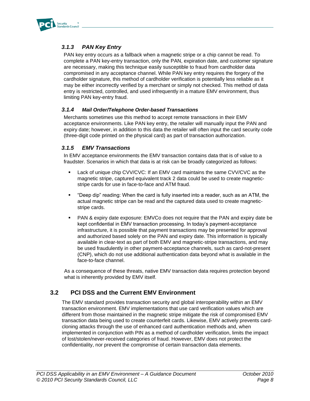

## *3.1.3 PAN Key Entry*

PAN key entry occurs as a fallback when a magnetic stripe or a chip cannot be read. To complete a PAN key-entry transaction, only the PAN, expiration date, and customer signature are necessary, making this technique easily susceptible to fraud from cardholder data compromised in any acceptance channel. While PAN key entry requires the forgery of the cardholder signature, this method of cardholder verification is potentially less reliable as it may be either incorrectly verified by a merchant or simply not checked. This method of data entry is restricted, controlled, and used infrequently in a mature EMV environment, thus limiting PAN key-entry fraud.

#### *3.1.4 Mail Order/Telephone Order-based Transactions*

Merchants sometimes use this method to accept remote transactions in their EMV acceptance environments. Like PAN key entry, the retailer will manually input the PAN and expiry date; however, in addition to this data the retailer will often input the card security code (three-digit code printed on the physical card) as part of transaction authorization.

#### *3.1.5 EMV Transactions*

In EMV acceptance environments the EMV transaction contains data that is of value to a fraudster. Scenarios in which that data is at risk can be broadly categorized as follows:

- Lack of unique chip CVV/CVC: If an EMV card maintains the same CVV/CVC as the magnetic stripe, captured equivalent track 2 data could be used to create magneticstripe cards for use in face-to-face and ATM fraud.
- "Deep dip" reading: When the card is fully inserted into a reader, such as an ATM, the actual magnetic stripe can be read and the captured data used to create magneticstripe cards.
- PAN & expiry date exposure: EMVCo does not require that the PAN and expiry date be kept confidential in EMV transaction processing. In today's payment-acceptance infrastructure, it is possible that payment transactions may be presented for approval and authorized based solely on the PAN and expiry date. This information is typically available in clear-text as part of both EMV and magnetic-stripe transactions, and may be used fraudulently in other payment-acceptance channels, such as card-not-present (CNP), which do not use additional authentication data beyond what is available in the face-to-face channel.

As a consequence of these threats, native EMV transaction data requires protection beyond what is inherently provided by EMV itself.

### **3.2 PCI DSS and the Current EMV Environment**

The EMV standard provides transaction security and global interoperability within an EMV transaction environment. EMV implementations that use card verification values which are different from those maintained in the magnetic stripe mitigate the risk of compromised EMV transaction data being used to create counterfeit cards. Likewise, EMV actively prevents cardcloning attacks through the use of enhanced card authentication methods and, when implemented in conjunction with PIN as a method of cardholder verification, limits the impact of lost/stolen/never-received categories of fraud. However, EMV does not protect the confidentiality, nor prevent the compromise of certain transaction data elements.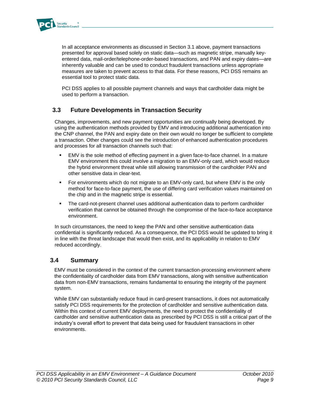

In all acceptance environments as discussed in Section 3.1 above, payment transactions presented for approval based solely on static data—such as magnetic stripe, manually keyentered data, mail-order/telephone-order-based transactions, and PAN and expiry dates—are inherently valuable and can be used to conduct fraudulent transactions unless appropriate measures are taken to prevent access to that data. For these reasons, PCI DSS remains an essential tool to protect static data.

PCI DSS applies to all possible payment channels and ways that cardholder data might be used to perform a transaction.

## **3.3 Future Developments in Transaction Security**

Changes, improvements, and new payment opportunities are continually being developed. By using the authentication methods provided by EMV and introducing additional authentication into the CNP channel, the PAN and expiry date on their own would no longer be sufficient to complete a transaction. Other changes could see the introduction of enhanced authentication procedures and processes for all transaction channels such that:

- EMV is the sole method of effecting payment in a given face-to-face channel. In a mature EMV environment this could involve a migration to an EMV-only card, which would reduce the hybrid environment threat while still allowing transmission of the cardholder PAN and other sensitive data in clear-text.
- For environments which do not migrate to an EMV-only card, but where EMV is the only method for face-to-face payment, the use of differing card verification values maintained on the chip and in the magnetic stripe is essential.
- The card-not-present channel uses additional authentication data to perform cardholder verification that cannot be obtained through the compromise of the face-to-face acceptance environment.

In such circumstances, the need to keep the PAN and other sensitive authentication data confidential is significantly reduced. As a consequence, the PCI DSS would be updated to bring it in line with the threat landscape that would then exist, and its applicability in relation to EMV reduced accordingly.

#### **3.4 Summary**

EMV must be considered in the context of the current transaction-processing environment where the confidentiality of cardholder data from EMV transactions, along with sensitive authentication data from non-EMV transactions, remains fundamental to ensuring the integrity of the payment system.

While EMV can substantially reduce fraud in card-present transactions, it does not automatically satisfy PCI DSS requirements for the protection of cardholder and sensitive authentication data. Within this context of current EMV deployments, the need to protect the confidentiality of cardholder and sensitive authentication data as prescribed by PCI DSS is still a critical part of the industry's overall effort to prevent that data being used for fraudulent transactions in other environments.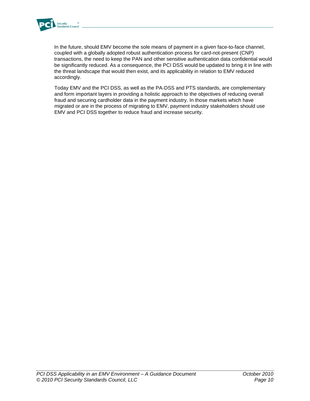

In the future, should EMV become the sole means of payment in a given face-to-face channel, coupled with a globally adopted robust authentication process for card-not-present (CNP) transactions, the need to keep the PAN and other sensitive authentication data confidential would be significantly reduced. As a consequence, the PCI DSS would be updated to bring it in line with the threat landscape that would then exist, and its applicability in relation to EMV reduced accordingly.

Today EMV and the PCI DSS, as well as the PA-DSS and PTS standards, are complementary and form important layers in providing a holistic approach to the objectives of reducing overall fraud and securing cardholder data in the payment industry. In those markets which have migrated or are in the process of migrating to EMV, payment industry stakeholders should use EMV and PCI DSS together to reduce fraud and increase security.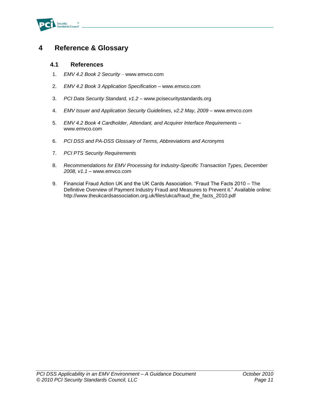

# **4 Reference & Glossary**

#### **4.1 References**

- 1. *EMV 4.2 Book 2 Security* www.emvco.com
- 2. *EMV 4.2 Book 3 Application Specification* www.emvco.com
- 3. *PCI Data Security Standard, v1.2* www.pcisecuritystandards.org
- 4. *EMV Issuer and Application Security Guidelines, v2.2 May, 2009* www.emvco.com
- 5. *EMV 4.2 Book 4 Cardholder, Attendant, and Acquirer Interface Requirements* www.emvco.com
- 6. *PCI DSS and PA-DSS Glossary of Terms, Abbreviations and Acronyms*
- 7. *PCI PTS Security Requirements*
- 8. *Recommendations for EMV Processing for Industry-Specific Transaction Types, December 2008, v1.1* – [www.emvco.com](http://www.emvco.com/)
- 9. Financial Fraud Action UK and the UK Cards Association. "Fraud The Facts 2010 The Definitive Overview of Payment Industry Fraud and Measures to Prevent it." Available online: [http://www.theukcardsassociation.org.uk/files/ukca/fraud\\_the\\_facts\\_2010.pdf](http://www.theukcardsassociation.org.uk/files/ukca/fraud_the_facts_2010.pdf)